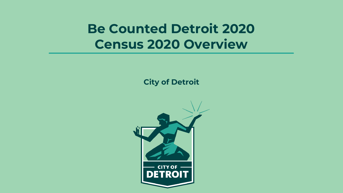# **Be Counted Detroit 2020** Census 2020 Overview

City of Detroit

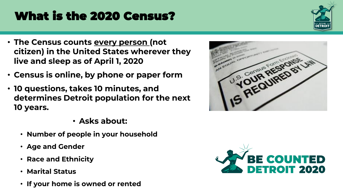- What is the 2020 Census?
- **The Census counts every person (not citizen) in the United States wherever they live and sleep as of April 1, 2020**
- **Census is online, by phone or paper form**
- **10 questions, takes 10 minutes, and determines Detroit population for the next 10 years.** 
	- Asks about:
	- Number of people in your household
	- Age and Gender
	- Race and Ethnicity
	- Marital Status
	- If your home is owned or rented





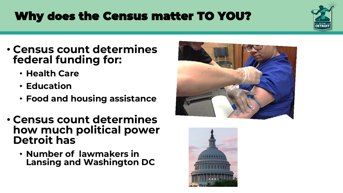# Why does the Census matter TO YOU?

- Census count determines federal funding for:
	- Health Care
	- Education
	- Food and housing assistance
- Census count determines how much political power Detroit has
	- Number of lawmakers in Lansing and Washington DC





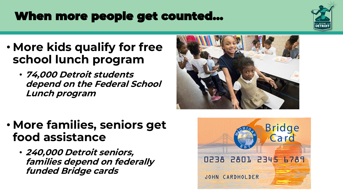# When more people get counted…

- More kids qualify for free school lunch program
	- **74,000 Detroit students depend on the Federal School Lunch program**



- More families, seniors get food assistance
	- 240,000 Detroit seniors, families depend on federally funded Bridge cards



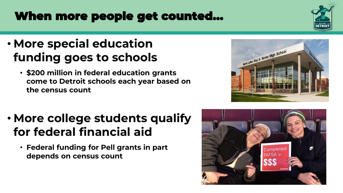# When more people get counted…

### • More special education funding goes to schools

• \$200 million in federal education grants come to Detroit schools each year based on the census count

# • More college students qualify for federal financial aid

• Federal funding for Pell grants in part depends on census count





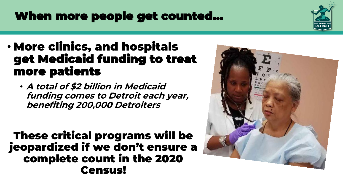# When more people get counted…

- More clinics, and hospitals get Medicaid funding to treat more patients
	- A total of \$2 billion in Medicaid funding comes to Detroit each year, benefiting 200,000 Detroiters

These critical programs will be jeopardized if we don't ensure a complete count in the 2020 Census!



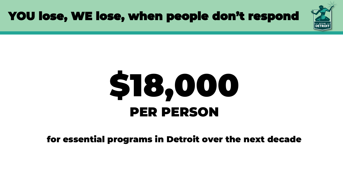

### YOU lose, WE lose, when people don't respond

# \$18,000 PER PERSON

#### for essential programs in Detroit over the next decade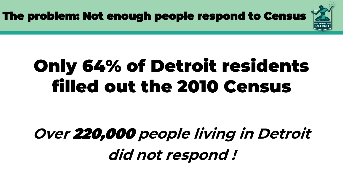The problem: Not enough people respond to Census

# Only 64% of Detroit residents filled out the 2010 Census

# **Over** 220,000 **people living in Detroit did not respond !**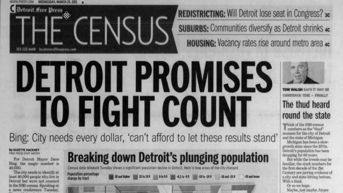

**REDISTRICTING: Will Detroit lose seat in Congress? 3c SUBURBS:** Communities diversify as Detroit shrinks 4c **HOUSING:** Vacancy rates rise around metro area 4c

-30 and lower

# JETROIT PROMISES O FIGHT COUNT Bing: City needs every dollar, 'can't afford to let these results stand'

#### By SUZETTE HACKNEY FREE PRESS STAFF WRITER

For Detroit Mayor Dave Bing, the magic number is 40,000.

The city needs to identify at least 40,000 people who live in Detroit but were not counted in the 2010 census. Speaking at a news conference Tuesday,



Population percentage change by tract

| 20 and higher 10 to 19.9 |  |
|--------------------------|--|
|                          |  |

 $-10$  to  $-19.9$   $-20$  and  $-29.9$ UH -0.1 tz -9.9

**TOM WALSH** COMERACK TIME - FINALLY The thud heard round the state

"Think of the 2010 census If numbers as the "thud" moment for the city of Detroit and the state of Michigan.

Michigan has been a slowgrowth state since the 1970s. Detroit's population has been dropping for 60 years.

But while the trends may be familiar, the stark numbers for the first decade of the 21st Century are jarring evidence of a city and state hitting bottom. With a thud.

Or so we hope.

Maybe, just maybe, future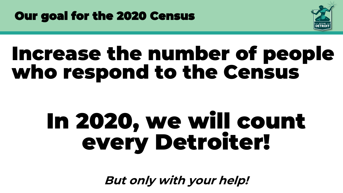



# Increase the number of people who respond to the Census

# In 2020, we will count every Detroiter!

**But only with your help!**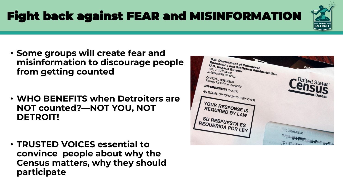Fight back against FEAR and MISINFORMATION

- Some groups will create fear and misinformation to discourage people from getting counted
- WHO BENEFITS when Detroiters are NOT counted?—NOT YOU, NOT DETROIT!
- TRUSTED VOICES essential to convince people about why the Census matters, why they should participate

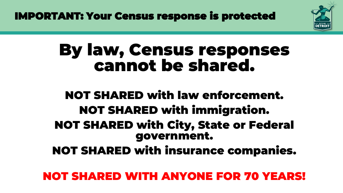IMPORTANT: Your Census response is protected



# By law, Census responses cannot be shared.

### NOT SHARED with law enforcement. NOT SHARED with immigration. NOT SHARED with City, State or Federal government. NOT SHARED with insurance companies.

NOT SHARED WITH ANYONE FOR 70 YEARS!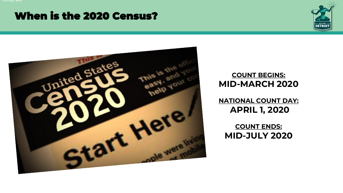#### When is the 2020 Census?





#### **COUNT BEGINS: MID-MARCH 2020**

**NATIONAL COUNT DAY: APRIL 1, 2020**

**COUNT ENDS: MID-JULY 2020**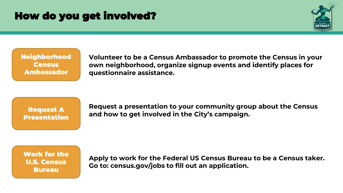#### How do you get involved?



Neighborhood **Census** Ambassador

**Volunteer to be a Census Ambassador to promote the Census in your own neighborhood, organize signup events and identify places for questionnaire assistance.** 

Request A **Presentation**  **Request a presentation to your community group about the Census and how to get involved in the City's campaign.** 

Work for the U.S. Census Bureau

**Apply to work for the Federal US Census Bureau to be a Census taker. Go to: census.gov/jobs to fill out an application.**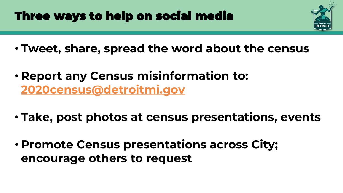# Three ways to help on social media

- Tweet, share, spread the word about the census
- **Report any Census misinformation to:**  [2020census@detroitmi.gov](mailto:2020census@detroitmi.gov)
- **Take, post photos at census presentations, events**
- Promote Census presentations across City; encourage others to request